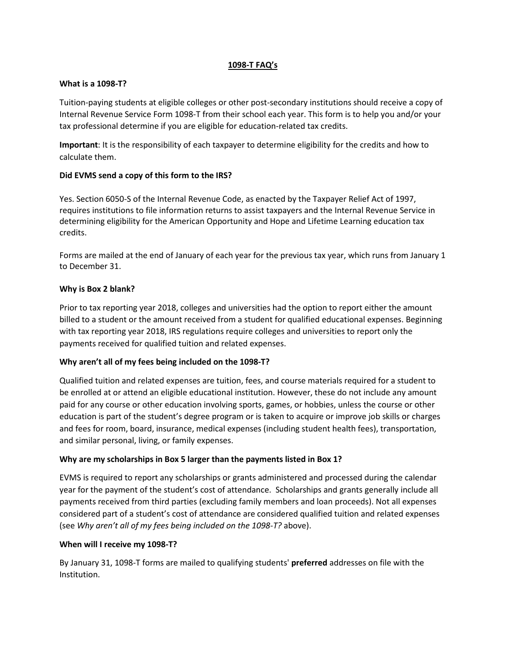### **1098-T FAQ's**

## **What is a 1098-T?**

Tuition-paying students at eligible colleges or other post-secondary institutions should receive a copy of Internal Revenue Service Form 1098-T from their school each year. This form is to help you and/or your tax professional determine if you are eligible for education-related tax credits.

**Important**: It is the responsibility of each taxpayer to determine eligibility for the credits and how to calculate them.

# **Did EVMS send a copy of this form to the IRS?**

Yes. Section 6050-S of the Internal Revenue Code, as enacted by the Taxpayer Relief Act of 1997, requires institutions to file information returns to assist taxpayers and the Internal Revenue Service in determining eligibility for the American Opportunity and Hope and Lifetime Learning education tax credits.

Forms are mailed at the end of January of each year for the previous tax year, which runs from January 1 to December 31.

## **Why is Box 2 blank?**

Prior to tax reporting year 2018, colleges and universities had the option to report either the amount billed to a student or the amount received from a student for qualified educational expenses. Beginning with tax reporting year 2018, IRS regulations require colleges and universities to report only the payments received for qualified tuition and related expenses.

## **Why aren't all of my fees being included on the 1098-T?**

Qualified tuition and related expenses are tuition, fees, and course materials required for a student to be enrolled at or attend an eligible educational institution. However, these do not include any amount paid for any course or other education involving sports, games, or hobbies, unless the course or other education is part of the student's degree program or is taken to acquire or improve job skills or charges and fees for room, board, insurance, medical expenses (including student health fees), transportation, and similar personal, living, or family expenses.

# **Why are my scholarships in Box 5 larger than the payments listed in Box 1?**

EVMS is required to report any scholarships or grants administered and processed during the calendar year for the payment of the student's cost of attendance. Scholarships and grants generally include all payments received from third parties (excluding family members and loan proceeds). Not all expenses considered part of a student's cost of attendance are considered qualified tuition and related expenses (see *Why aren't all of my fees being included on the 1098-T?* above).

## **When will I receive my 1098-T?**

By January 31, 1098-T forms are mailed to qualifying students' **preferred** addresses on file with the Institution.